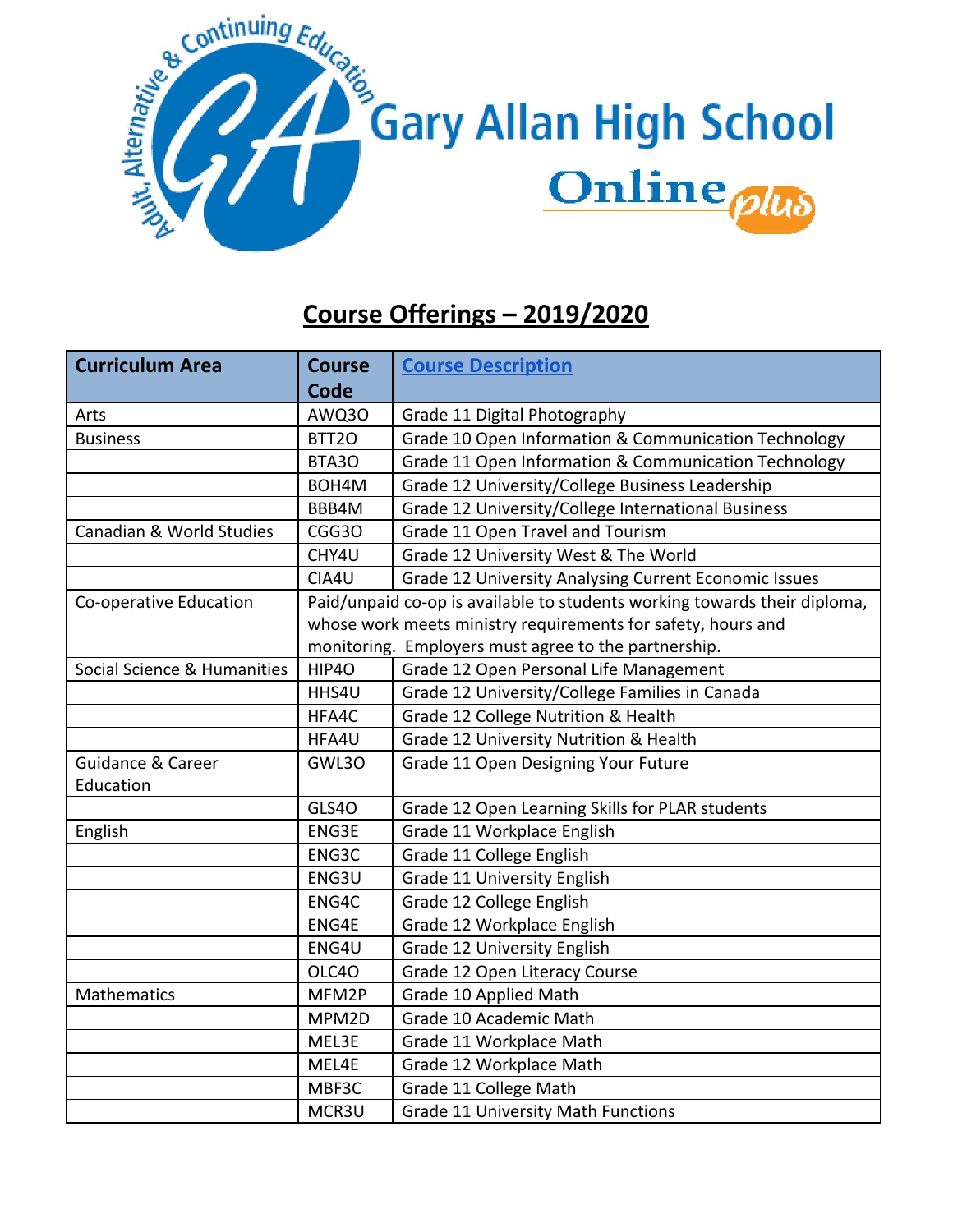

## **Course Offerings – 2019/2020**

| <b>Curriculum Area</b>       | <b>Course</b> | <b>Course Description</b>                                                 |
|------------------------------|---------------|---------------------------------------------------------------------------|
|                              | <b>Code</b>   |                                                                           |
| Arts                         | AWQ30         | Grade 11 Digital Photography                                              |
| <b>Business</b>              | BTT2O         | Grade 10 Open Information & Communication Technology                      |
|                              | BTA3O         | Grade 11 Open Information & Communication Technology                      |
|                              | BOH4M         | Grade 12 University/College Business Leadership                           |
|                              | BBB4M         | Grade 12 University/College International Business                        |
| Canadian & World Studies     | CGG3O         | Grade 11 Open Travel and Tourism                                          |
|                              | CHY4U         | Grade 12 University West & The World                                      |
|                              | CIA4U         | Grade 12 University Analysing Current Economic Issues                     |
| Co-operative Education       |               | Paid/unpaid co-op is available to students working towards their diploma, |
|                              |               | whose work meets ministry requirements for safety, hours and              |
|                              |               | monitoring. Employers must agree to the partnership.                      |
| Social Science & Humanities  | HIP4O         | Grade 12 Open Personal Life Management                                    |
|                              | HHS4U         | Grade 12 University/College Families in Canada                            |
|                              | HFA4C         | Grade 12 College Nutrition & Health                                       |
|                              | HFA4U         | Grade 12 University Nutrition & Health                                    |
| <b>Guidance &amp; Career</b> | GWL3O         | Grade 11 Open Designing Your Future                                       |
| Education                    |               |                                                                           |
|                              | GLS40         | Grade 12 Open Learning Skills for PLAR students                           |
| English                      | ENG3E         | Grade 11 Workplace English                                                |
|                              | ENG3C         | Grade 11 College English                                                  |
|                              | ENG3U         | Grade 11 University English                                               |
|                              | ENG4C         | Grade 12 College English                                                  |
|                              | ENG4E         | Grade 12 Workplace English                                                |
|                              | ENG4U         | Grade 12 University English                                               |
|                              | OLC40         | Grade 12 Open Literacy Course                                             |
| Mathematics                  | MFM2P         | Grade 10 Applied Math                                                     |
|                              | MPM2D         | Grade 10 Academic Math                                                    |
|                              | MEL3E         | Grade 11 Workplace Math                                                   |
|                              | MEL4E         | Grade 12 Workplace Math                                                   |
|                              | MBF3C         | Grade 11 College Math                                                     |
|                              | MCR3U         | <b>Grade 11 University Math Functions</b>                                 |